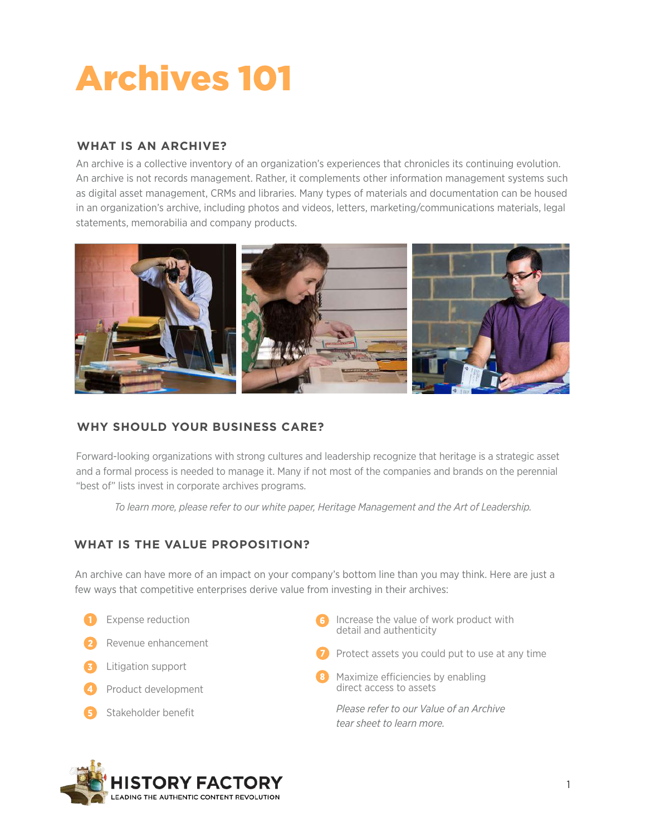# Archives 101

## **WHAT IS AN ARCHIVE?**

An archive is a collective inventory of an organization's experiences that chronicles its continuing evolution. An archive is not records management. Rather, it complements other information management systems such as digital asset management, CRMs and libraries. Many types of materials and documentation can be housed in an organization's archive, including photos and videos, letters, marketing/communications materials, legal statements, memorabilia and company products.



## **WHY SHOULD YOUR BUSINESS CARE?**

Forward-looking organizations with strong cultures and leadership recognize that heritage is a strategic asset and a formal process is needed to manage it. Many if not most of the companies and brands on the perennial "best of" lists invest in corporate archives programs.

*To learn more, please refer to our white paper, Heritage Management and the Art of Leadership.* 

#### **WHAT IS THE VALUE PROPOSITION?**

An archive can have more of an impact on your company's bottom line than you may think. Here are just a few ways that competitive enterprises derive value from investing in their archives:

- Expense reduction Revenue enhancement Litigation support 4 Product development
- Stakeholder benefit
- **6** Increase the value of work product with detail and authenticity
- Protect assets you could put to use at any time
- Maximize efficiencies by enabling direct access to assets

*Please refer to our Value of an Archive tear sheet to learn more.*

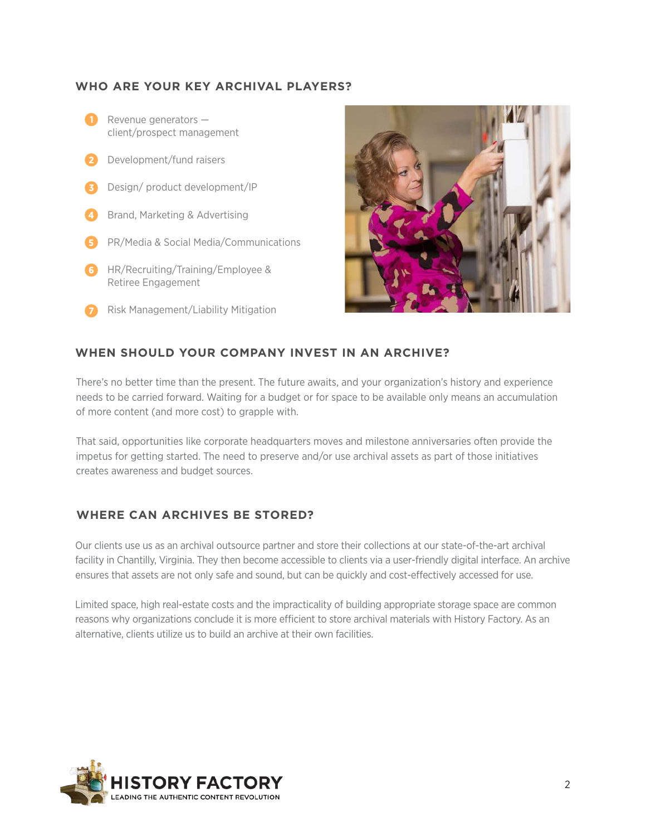#### **WHO ARE YOUR KEY ARCHIVAL PLAYERS?**





#### **WHEN SHOULD YOUR COMPANY INVEST IN AN ARCHIVE?**

There's no better time than the present. The future awaits, and your organization's history and experience needs to be carried forward. Waiting for a budget or for space to be available only means an accumulation of more content (and more cost) to grapple with.

That said, opportunities like corporate headquarters moves and milestone anniversaries often provide the impetus for getting started. The need to preserve and/or use archival assets as part of those initiatives creates awareness and budget sources.

#### **WHERE CAN ARCHIVES BE STORED?**

Our clients use us as an archival outsource partner and store their collections at our state-of-the-art archival facility in Chantilly, Virginia. They then become accessible to clients via a user-friendly digital interface. An archive ensures that assets are not only safe and sound, but can be quickly and cost-effectively accessed for use.

Limited space, high real-estate costs and the impracticality of building appropriate storage space are common reasons why organizations conclude it is more efficient to store archival materials with History Factory. As an alternative, clients utilize us to build an archive at their own facilities.